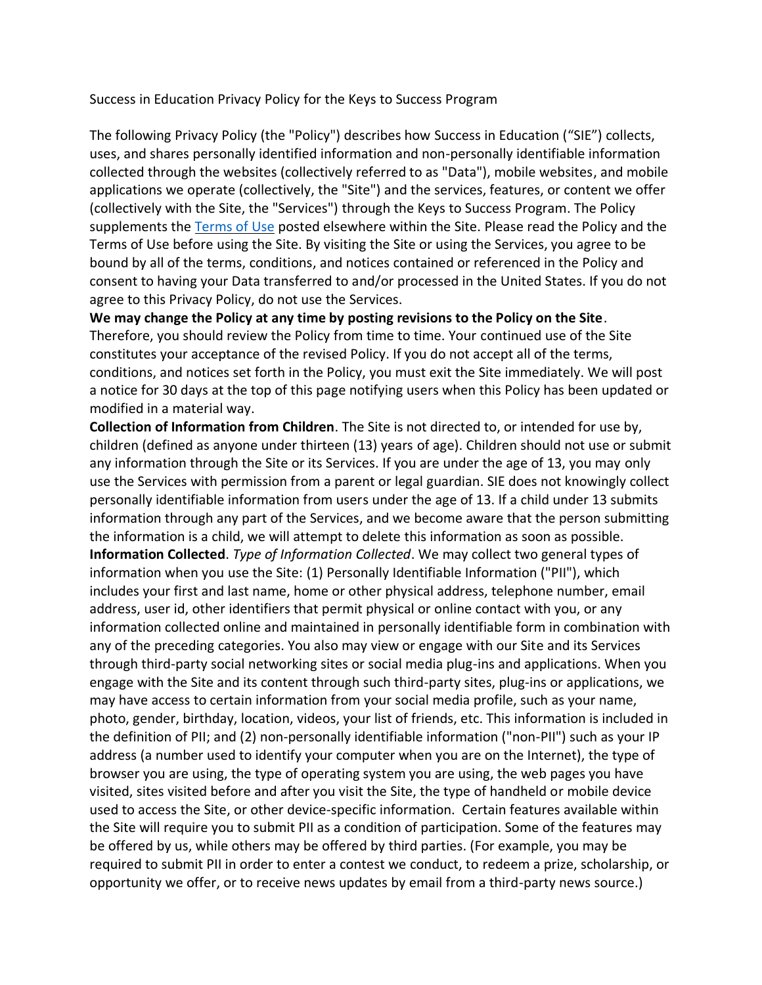Success in Education Privacy Policy for the Keys to Success Program

The following Privacy Policy (the "Policy") describes how Success in Education ("SIE") collects, uses, and shares personally identified information and non-personally identifiable information collected through the websites (collectively referred to as "Data"), mobile websites, and mobile applications we operate (collectively, the "Site") and the services, features, or content we offer (collectively with the Site, the "Services") through the Keys to Success Program. The Policy supplements the [Terms of Use](https://utah.com/terms-of-use) posted elsewhere within the Site. Please read the Policy and the Terms of Use before using the Site. By visiting the Site or using the Services, you agree to be bound by all of the terms, conditions, and notices contained or referenced in the Policy and consent to having your Data transferred to and/or processed in the United States. If you do not agree to this Privacy Policy, do not use the Services.

**We may change the Policy at any time by posting revisions to the Policy on the Site**. Therefore, you should review the Policy from time to time. Your continued use of the Site constitutes your acceptance of the revised Policy. If you do not accept all of the terms, conditions, and notices set forth in the Policy, you must exit the Site immediately. We will post a notice for 30 days at the top of this page notifying users when this Policy has been updated or modified in a material way.

**Collection of Information from Children**. The Site is not directed to, or intended for use by, children (defined as anyone under thirteen (13) years of age). Children should not use or submit any information through the Site or its Services. If you are under the age of 13, you may only use the Services with permission from a parent or legal guardian. SIE does not knowingly collect personally identifiable information from users under the age of 13. If a child under 13 submits information through any part of the Services, and we become aware that the person submitting the information is a child, we will attempt to delete this information as soon as possible. **Information Collected**. *Type of Information Collected*. We may collect two general types of information when you use the Site: (1) Personally Identifiable Information ("PII"), which includes your first and last name, home or other physical address, telephone number, email address, user id, other identifiers that permit physical or online contact with you, or any information collected online and maintained in personally identifiable form in combination with any of the preceding categories. You also may view or engage with our Site and its Services through third-party social networking sites or social media plug-ins and applications. When you engage with the Site and its content through such third-party sites, plug-ins or applications, we may have access to certain information from your social media profile, such as your name, photo, gender, birthday, location, videos, your list of friends, etc. This information is included in the definition of PII; and (2) non-personally identifiable information ("non-PII") such as your IP address (a number used to identify your computer when you are on the Internet), the type of browser you are using, the type of operating system you are using, the web pages you have visited, sites visited before and after you visit the Site, the type of handheld or mobile device used to access the Site, or other device-specific information. Certain features available within the Site will require you to submit PII as a condition of participation. Some of the features may be offered by us, while others may be offered by third parties. (For example, you may be required to submit PII in order to enter a contest we conduct, to redeem a prize, scholarship, or opportunity we offer, or to receive news updates by email from a third-party news source.)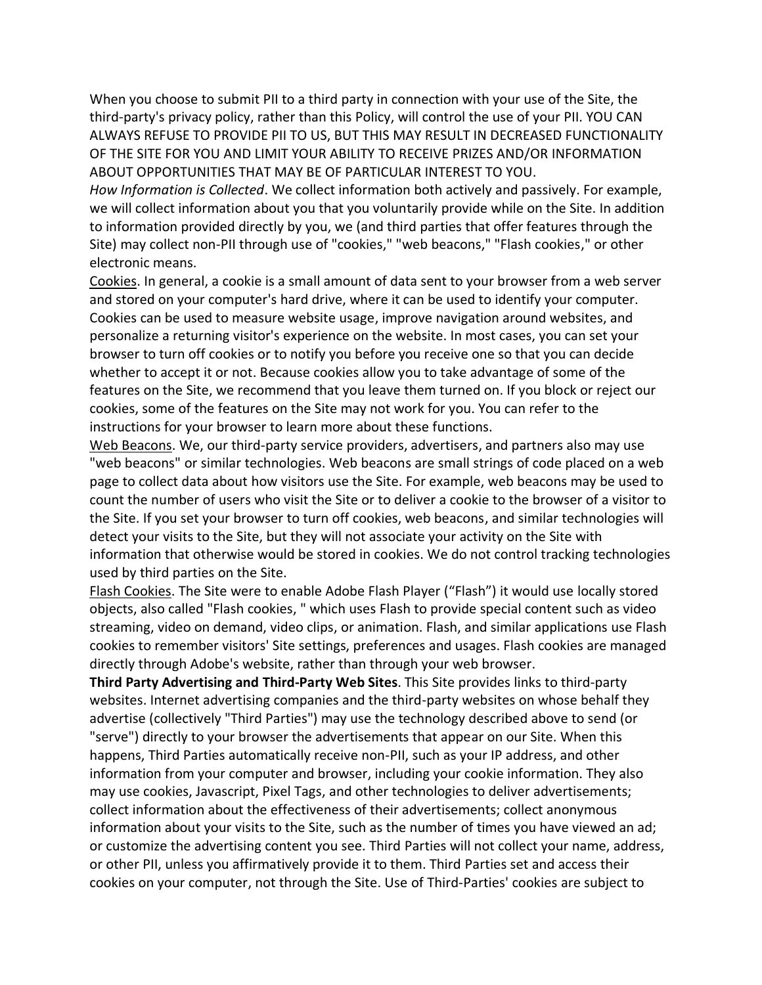When you choose to submit PII to a third party in connection with your use of the Site, the third-party's privacy policy, rather than this Policy, will control the use of your PII. YOU CAN ALWAYS REFUSE TO PROVIDE PII TO US, BUT THIS MAY RESULT IN DECREASED FUNCTIONALITY OF THE SITE FOR YOU AND LIMIT YOUR ABILITY TO RECEIVE PRIZES AND/OR INFORMATION ABOUT OPPORTUNITIES THAT MAY BE OF PARTICULAR INTEREST TO YOU.

*How Information is Collected*. We collect information both actively and passively. For example, we will collect information about you that you voluntarily provide while on the Site. In addition to information provided directly by you, we (and third parties that offer features through the Site) may collect non-PII through use of "cookies," "web beacons," "Flash cookies," or other electronic means.

Cookies. In general, a cookie is a small amount of data sent to your browser from a web server and stored on your computer's hard drive, where it can be used to identify your computer. Cookies can be used to measure website usage, improve navigation around websites, and personalize a returning visitor's experience on the website. In most cases, you can set your browser to turn off cookies or to notify you before you receive one so that you can decide whether to accept it or not. Because cookies allow you to take advantage of some of the features on the Site, we recommend that you leave them turned on. If you block or reject our cookies, some of the features on the Site may not work for you. You can refer to the instructions for your browser to learn more about these functions.

Web Beacons. We, our third-party service providers, advertisers, and partners also may use "web beacons" or similar technologies. Web beacons are small strings of code placed on a web page to collect data about how visitors use the Site. For example, web beacons may be used to count the number of users who visit the Site or to deliver a cookie to the browser of a visitor to the Site. If you set your browser to turn off cookies, web beacons, and similar technologies will detect your visits to the Site, but they will not associate your activity on the Site with information that otherwise would be stored in cookies. We do not control tracking technologies used by third parties on the Site.

Flash Cookies. The Site were to enable Adobe Flash Player ("Flash") it would use locally stored objects, also called "Flash cookies, " which uses Flash to provide special content such as video streaming, video on demand, video clips, or animation. Flash, and similar applications use Flash cookies to remember visitors' Site settings, preferences and usages. Flash cookies are managed directly through Adobe's website, rather than through your web browser.

**Third Party Advertising and Third-Party Web Sites**. This Site provides links to third-party websites. Internet advertising companies and the third-party websites on whose behalf they advertise (collectively "Third Parties") may use the technology described above to send (or "serve") directly to your browser the advertisements that appear on our Site. When this happens, Third Parties automatically receive non-PII, such as your IP address, and other information from your computer and browser, including your cookie information. They also may use cookies, Javascript, Pixel Tags, and other technologies to deliver advertisements; collect information about the effectiveness of their advertisements; collect anonymous information about your visits to the Site, such as the number of times you have viewed an ad; or customize the advertising content you see. Third Parties will not collect your name, address, or other PII, unless you affirmatively provide it to them. Third Parties set and access their cookies on your computer, not through the Site. Use of Third-Parties' cookies are subject to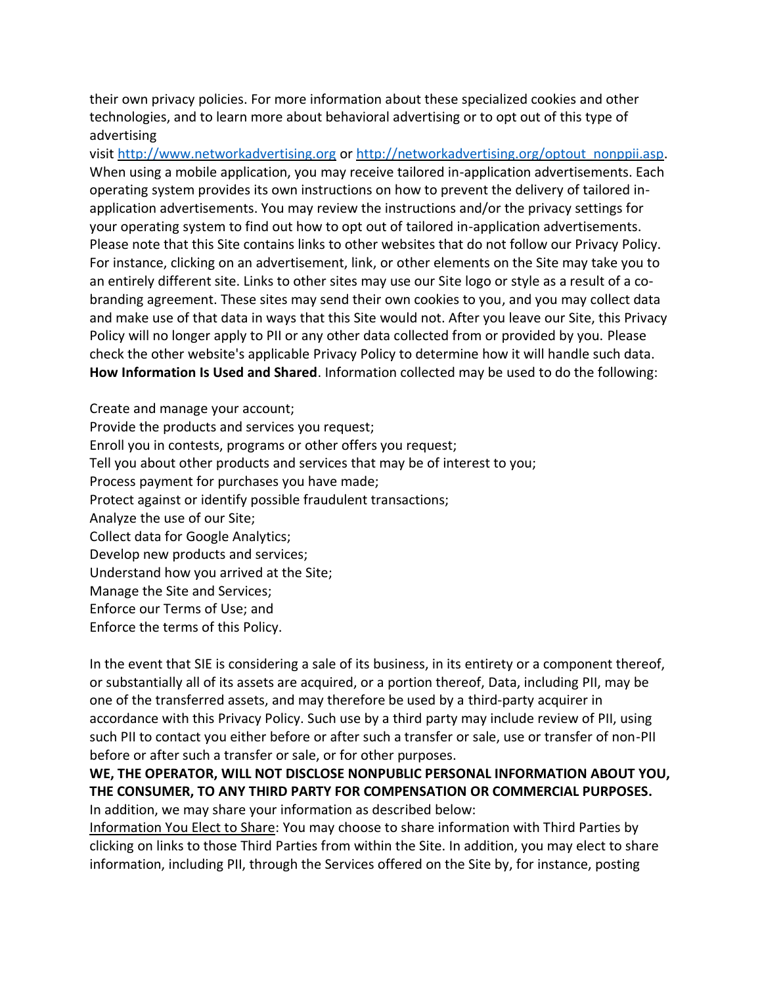their own privacy policies. For more information about these specialized cookies and other technologies, and to learn more about behavioral advertising or to opt out of this type of advertising

visit [http://www.networkadvertising.org](http://www.networkadvertising.org/) or [http://networkadvertising.org/optout\\_nonppii.asp.](http://networkadvertising.org/optout_nonppii.asp) When using a mobile application, you may receive tailored in-application advertisements. Each operating system provides its own instructions on how to prevent the delivery of tailored inapplication advertisements. You may review the instructions and/or the privacy settings for your operating system to find out how to opt out of tailored in-application advertisements. Please note that this Site contains links to other websites that do not follow our Privacy Policy. For instance, clicking on an advertisement, link, or other elements on the Site may take you to an entirely different site. Links to other sites may use our Site logo or style as a result of a cobranding agreement. These sites may send their own cookies to you, and you may collect data and make use of that data in ways that this Site would not. After you leave our Site, this Privacy Policy will no longer apply to PII or any other data collected from or provided by you. Please check the other website's applicable Privacy Policy to determine how it will handle such data. **How Information Is Used and Shared**. Information collected may be used to do the following:

Create and manage your account; Provide the products and services you request; Enroll you in contests, programs or other offers you request; Tell you about other products and services that may be of interest to you; Process payment for purchases you have made; Protect against or identify possible fraudulent transactions; Analyze the use of our Site; Collect data for Google Analytics; Develop new products and services; Understand how you arrived at the Site; Manage the Site and Services; Enforce our Terms of Use; and Enforce the terms of this Policy.

In the event that SIE is considering a sale of its business, in its entirety or a component thereof, or substantially all of its assets are acquired, or a portion thereof, Data, including PII, may be one of the transferred assets, and may therefore be used by a third-party acquirer in accordance with this Privacy Policy. Such use by a third party may include review of PII, using such PII to contact you either before or after such a transfer or sale, use or transfer of non-PII before or after such a transfer or sale, or for other purposes.

**WE, THE OPERATOR, WILL NOT DISCLOSE NONPUBLIC PERSONAL INFORMATION ABOUT YOU, THE CONSUMER, TO ANY THIRD PARTY FOR COMPENSATION OR COMMERCIAL PURPOSES.** In addition, we may share your information as described below:

Information You Elect to Share: You may choose to share information with Third Parties by clicking on links to those Third Parties from within the Site. In addition, you may elect to share information, including PII, through the Services offered on the Site by, for instance, posting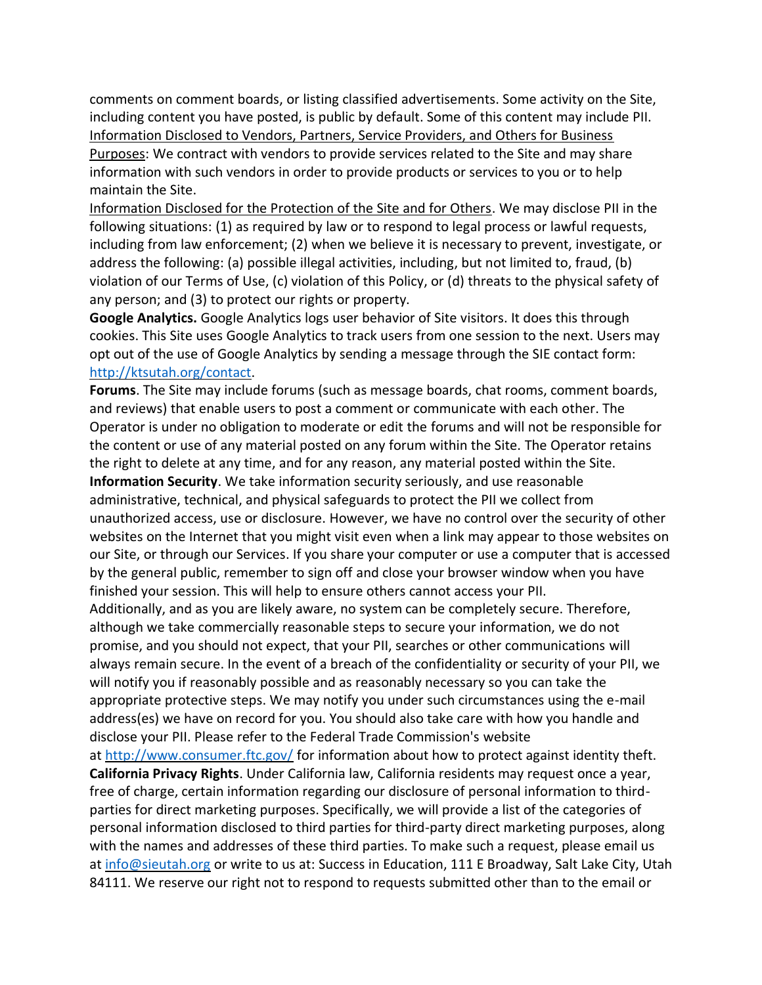comments on comment boards, or listing classified advertisements. Some activity on the Site, including content you have posted, is public by default. Some of this content may include PII. Information Disclosed to Vendors, Partners, Service Providers, and Others for Business Purposes: We contract with vendors to provide services related to the Site and may share information with such vendors in order to provide products or services to you or to help maintain the Site.

Information Disclosed for the Protection of the Site and for Others. We may disclose PII in the following situations: (1) as required by law or to respond to legal process or lawful requests, including from law enforcement; (2) when we believe it is necessary to prevent, investigate, or address the following: (a) possible illegal activities, including, but not limited to, fraud, (b) violation of our Terms of Use, (c) violation of this Policy, or (d) threats to the physical safety of any person; and (3) to protect our rights or property.

**Google Analytics.** Google Analytics logs user behavior of Site visitors. It does this through cookies. This Site uses Google Analytics to track users from one session to the next. Users may opt out of the use of Google Analytics by sending a message through the SIE contact form: [http://ktsutah.org/contact.](http://ktsutah.org/contact)

**Forums**. The Site may include forums (such as message boards, chat rooms, comment boards, and reviews) that enable users to post a comment or communicate with each other. The Operator is under no obligation to moderate or edit the forums and will not be responsible for the content or use of any material posted on any forum within the Site. The Operator retains the right to delete at any time, and for any reason, any material posted within the Site. **Information Security**. We take information security seriously, and use reasonable administrative, technical, and physical safeguards to protect the PII we collect from unauthorized access, use or disclosure. However, we have no control over the security of other websites on the Internet that you might visit even when a link may appear to those websites on our Site, or through our Services. If you share your computer or use a computer that is accessed by the general public, remember to sign off and close your browser window when you have finished your session. This will help to ensure others cannot access your PII. Additionally, and as you are likely aware, no system can be completely secure. Therefore, although we take commercially reasonable steps to secure your information, we do not

promise, and you should not expect, that your PII, searches or other communications will always remain secure. In the event of a breach of the confidentiality or security of your PII, we will notify you if reasonably possible and as reasonably necessary so you can take the appropriate protective steps. We may notify you under such circumstances using the e-mail address(es) we have on record for you. You should also take care with how you handle and disclose your PII. Please refer to the Federal Trade Commission's website

at <http://www.consumer.ftc.gov/> for information about how to protect against identity theft. **California Privacy Rights**. Under California law, California residents may request once a year, free of charge, certain information regarding our disclosure of personal information to thirdparties for direct marketing purposes. Specifically, we will provide a list of the categories of personal information disclosed to third parties for third-party direct marketing purposes, along with the names and addresses of these third parties. To make such a request, please email us at [info@sieutah.org](mailto:info@sieutah.org) or write to us at: Success in Education, 111 E Broadway, Salt Lake City, Utah 84111. We reserve our right not to respond to requests submitted other than to the email or